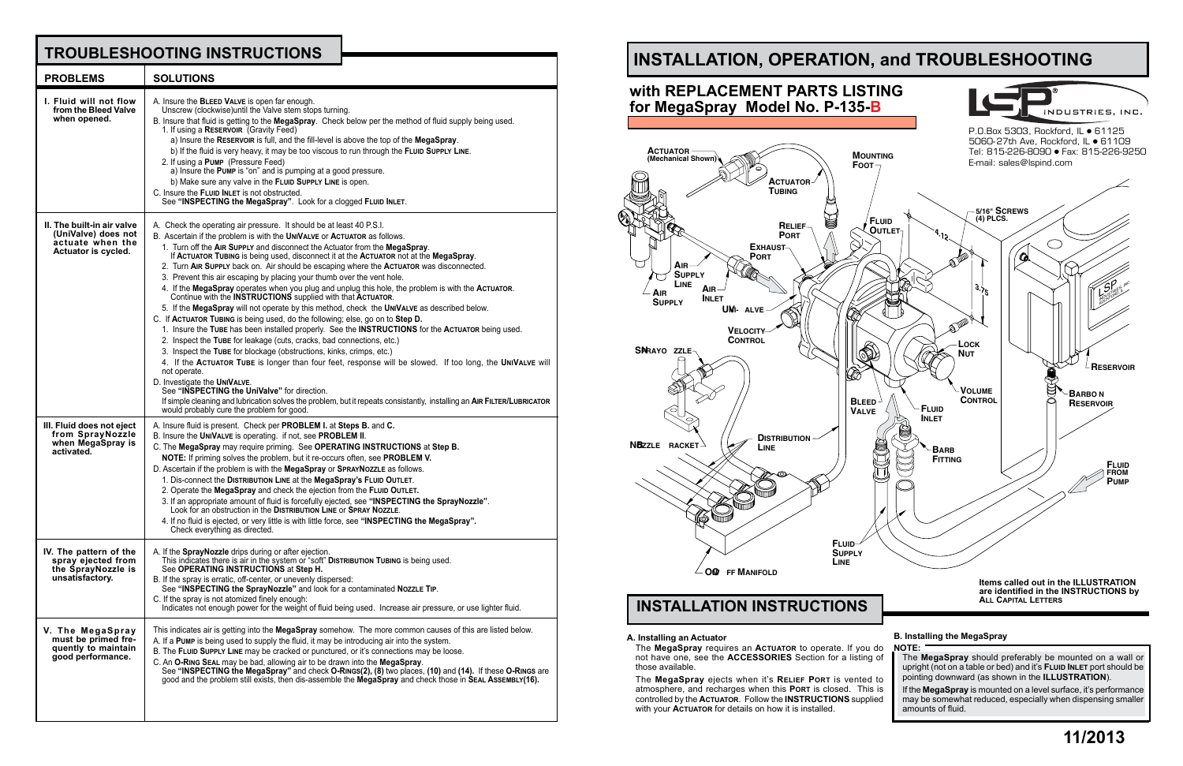# **INSTALLATION, OPERATION, and TROUBLESHOOTING**

**B. Installing the MegaSpray NOTE:**

The **MegaSpray** should preferably be mounted on a wall or upright (not on a table or bed) and it's **Fluid Inlet** port should be pointing downward (as shown in the **ILLUSTRATION**).

If the **MegaSpray** is mounted on a level surface, it's performance may be somewhat reduced, especially when dispensing smaller amounts of fluid.

#### **A. Installing an Actuator**

The **MegaSpray** requires an **Actuator** to operate. If you do not have one, see the **ACCESSORIES** Section for a listing of those available.

The **MegaSpray** ejects when it's **Relief Port** is vented to atmosphere, and recharges when this **Port** is closed. This is controlled by the **Actuator**. Follow the **INSTRUCTIONS** supplied with your **Actuator** for details on how it is installed.



**Items called out in the ILLUSTRATION are identified in the INSTRUCTIONS by All Capital Letters**

## **TROUBLESHOOTING INSTRUCTIONS**



| <b>PROBLEMS</b>                                                                              | <b>SOLUTIONS</b>                                                                                                                                                                                                                                                                                                                                                                                                                                                                                                                                                                                                                                                                                                                                                                                                                                                                                                                                                                                                                                                                                                                                                                                                                                                                                                                                                                                                                                                                             |
|----------------------------------------------------------------------------------------------|----------------------------------------------------------------------------------------------------------------------------------------------------------------------------------------------------------------------------------------------------------------------------------------------------------------------------------------------------------------------------------------------------------------------------------------------------------------------------------------------------------------------------------------------------------------------------------------------------------------------------------------------------------------------------------------------------------------------------------------------------------------------------------------------------------------------------------------------------------------------------------------------------------------------------------------------------------------------------------------------------------------------------------------------------------------------------------------------------------------------------------------------------------------------------------------------------------------------------------------------------------------------------------------------------------------------------------------------------------------------------------------------------------------------------------------------------------------------------------------------|
| I. Fluid will not flow<br>from the Bleed Valve<br>when opened.                               | A. Insure the BLEED VALVE is open far enough.<br>Unscrew (clockwise) until the Valve stem stops turning.<br>B. Insure that fluid is getting to the MegaSpray. Check below per the method of fluid supply being used.<br>1. If using a RESERVOIR (Gravity Feed)<br>a) Insure the RESERVOIR is full, and the fill-level is above the top of the MegaSpray.<br>b) If the fluid is very heavy, it may be too viscous to run through the FLUID SUPPLY LINE.<br>2. If using a PUMP (Pressure Feed)<br>a) Insure the PUMP is "on" and is pumping at a good pressure.<br>b) Make sure any valve in the FLUID SUPPLY LINE is open.<br>C. Insure the FLUID INLET is not obstructed.<br>See "INSPECTING the MegaSpray". Look for a clogged FLUID INLET.                                                                                                                                                                                                                                                                                                                                                                                                                                                                                                                                                                                                                                                                                                                                                 |
| II. The built-in air valve<br>(UniValve) does not<br>actuate when the<br>Actuator is cycled. | A. Check the operating air pressure. It should be at least 40 P.S.I.<br>B. Ascertain if the problem is with the UNIVALVE or ACTUATOR as follows.<br>1. Turn off the AIR SUPPLY and disconnect the Actuator from the MegaSpray.<br>If ACTUATOR TUBING is being used, disconnect it at the ACTUATOR not at the MegaSpray.<br>2. Turn AIR SUPPLY back on. Air should be escaping where the ACTUATOR was disconnected.<br>3. Prevent this air escaping by placing your thumb over the vent hole.<br>4. If the MegaSpray operates when you plug and unplug this hole, the problem is with the ACTUATOR.<br>Continue with the INSTRUCTIONS supplied with that ACTUATOR.<br>5. If the MegaSpray will not operate by this method, check the UNIVALVE as described below.<br>C. If ACTUATOR TUBING is being used, do the following; else, go on to Step D.<br>1. Insure the TUBE has been installed properly. See the INSTRUCTIONS for the ACTUATOR being used.<br>2. Inspect the TUBE for leakage (cuts, cracks, bad connections, etc.)<br>3. Inspect the TUBE for blockage (obstructions, kinks, crimps, etc.)<br>4. If the ACTUATOR TUBE is longer than four feet, response will be slowed. If too long, the UNIVALVE will<br>not operate.<br>D. Investigate the UNIVALVE.<br>See "INSPECTING the UniValve" for direction.<br>If simple cleaning and lubrication solves the problem, but it repeats consistantly, installing an AIR FILTER/LUBRICATOR<br>would probably cure the problem for good. |
| III. Fluid does not eject<br>from SprayNozzle<br>when MegaSpray is<br>activated.             | A. Insure fluid is present. Check per <b>PROBLEM I.</b> at <b>Steps B.</b> and C.<br>B. Insure the UNIVALVE is operating. if not, see PROBLEM II.<br>C. The MegaSpray may require priming. See OPERATING INSTRUCTIONS at Step B.<br>NOTE: If priming solves the problem, but it re-occurs often, see PROBLEM V.<br>D. Ascertain if the problem is with the MegaSpray or SPRAYNOZZLE as follows.<br>1. Dis-connect the DISTRIBUTION LINE at the MegaSpray's FLUID OUTLET.<br>2. Operate the MegaSpray and check the ejection from the FLUID OUTLET.<br>3. If an appropriate amount of fluid is forcefully ejected, see "INSPECTING the SprayNozzle"<br>Look for an obstruction in the DISTRIBUTION LINE or SPRAY NOZZLE.<br>4. If no fluid is ejected, or very little is with little force, see "INSPECTING the MegaSpray".<br>Check everything as directed.                                                                                                                                                                                                                                                                                                                                                                                                                                                                                                                                                                                                                                  |
| IV. The pattern of the<br>spray ejected from<br>the SprayNozzle is<br>unsatisfactory.        | A. If the <b>SprayNozzle</b> drips during or after ejection.<br>This indicates there is air in the system or "soft" <b>DISTRIBUTION TUBING</b> is being used.<br>See OPERATING INSTRUCTIONS at Step H.<br>B. If the spray is erratic, off-center, or unevenly dispersed:<br>See "INSPECTING the SprayNozzle" and look for a contaminated NozzLE TIP.<br>C. If the spray is not atomized finely enough:<br>Indicates not enough power for the weight of fluid being used. Increase air pressure, or use lighter fluid.                                                                                                                                                                                                                                                                                                                                                                                                                                                                                                                                                                                                                                                                                                                                                                                                                                                                                                                                                                        |
| V. The MegaSpray<br>must be primed fre-<br>quently to maintain<br>good performance.          | This indicates air is getting into the MegaSpray somehow. The more common causes of this are listed below.<br>A. If a PUMP is being used to supply the fluid, it may be introducing air into the system.<br>B. The FLUID SUPPLY LINE may be cracked or punctured, or it's connections may be loose.<br>C. An O-RING SEAL may be bad, allowing air to be drawn into the MegaSpray.<br>See "INSPECTING the MegaSpray" and check O-Rings(2), (8) two places, (10) and (14). If these O-Rings are<br>good and the problem still exists, then dis-assemble the MegaSpray and check those in SEAL ASSEMBLY(16).                                                                                                                                                                                                                                                                                                                                                                                                                                                                                                                                                                                                                                                                                                                                                                                                                                                                                    |

## **INSTALLATION INSTRUCTIONS**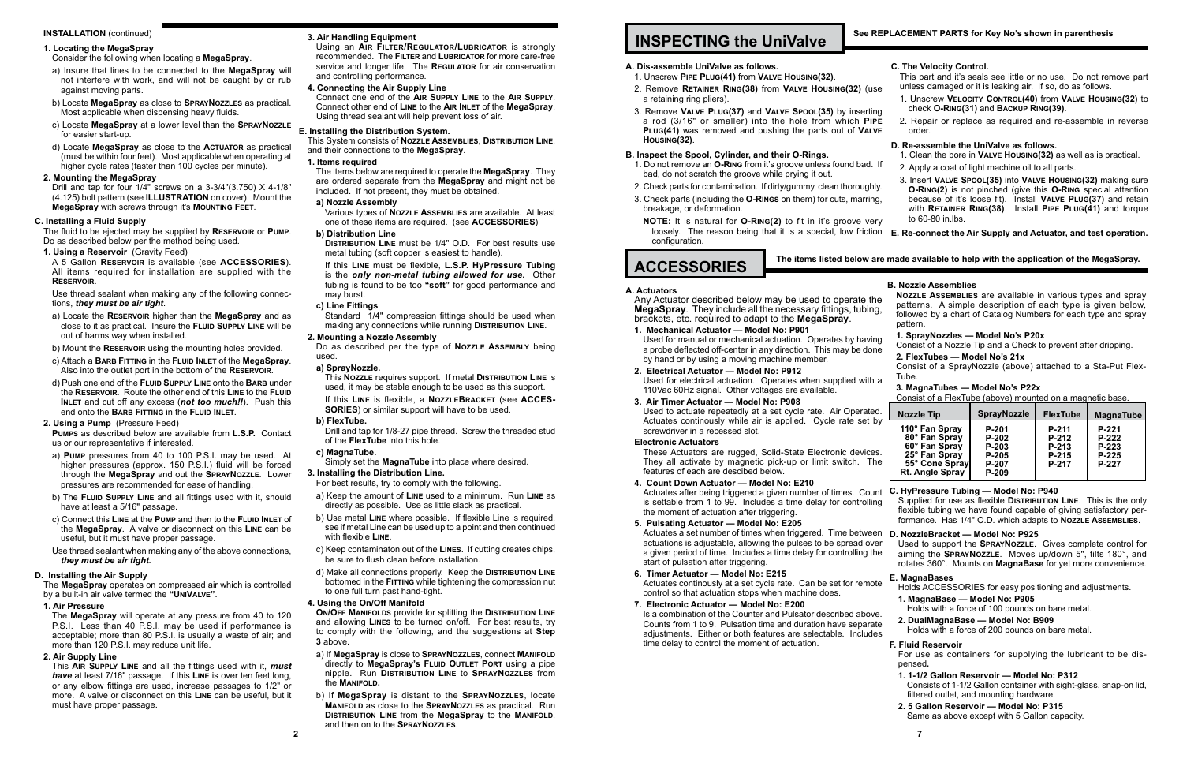#### **INSTALLATION** (continued)

#### **1. Locating the MegaSpray**

#### Consider the following when locating a **MegaSpray**.

- a) Insure that lines to be connected to the **MegaSpray** will not interfere with work, and will not be caught by or rub against moving parts.
- b) Locate **MegaSpray** as close to **SprayNozzles** as practical. Most applicable when dispensing heavy fluids.
- c) Locate **MegaSpray** at a lower level than the **SprayNozzle** for easier start-up.
- d) Locate **MegaSpray** as close to the **Actuator** as practical (must be within four feet). Most applicable when operating at higher cycle rates (faster than 100 cycles per minute).

#### **2. Mounting the MegaSpray**

Drill and tap for four 1/4" screws on a 3-3/4"(3.750) X 4-1/8" (4.125) bolt pattern (see **ILLUSTRATION** on cover). Mount the **MegaSpray** with screws through it's **Mounting Feet**.

#### **C. Installing a Fluid Supply**

The fluid to be ejected may be supplied by **Reservoir** or **Pump**. Do as described below per the method being used.

#### **1. Using a Reservoir** (Gravity Feed)

A 5 Gallon **Reservoir** is available (see **ACCESSORIES**). All items required for installation are supplied with the **Reservoir**.

Use thread sealant when making any of the following connections, *they must be air tight*.

a) Locate the **Reservoir** higher than the **MegaSpray** and as close to it as practical. Insure the **Fluid Supply Line** will be out of harms way when installed.

b) Mount the **Reservoir** using the mounting holes provided.

- c) Attach a **Barb Fitting** in the **Fluid Inlet** of the **MegaSpray**. Also into the outlet port in the bottom of the **Reservoir**.
- d) Push one end of the **Fluid Supply Line** onto the **Barb** under the **Reservoir**. Route the other end of this **Line** to the **Fluid Inlet** and cut off any excess (*not too much!!*). Push this end onto the **Barb Fitting** in the **Fluid Inlet**.

#### **2. Using a Pump** (Pressure Feed)

**Pumps** as described below are available from **L.S.P.** Contact us or our representative if interested.

**DISTRIBUTION LINE** must be 1/4" O.D. For best results use metal tubing (soft copper is easiest to handle).

- a) **Pump** pressures from 40 to 100 P.S.I. may be used. At higher pressures (approx. 150 P.S.I.) fluid will be forced through the **MegaSpray** and out the **SprayNozzle**. Lower pressures are recommended for ease of handling.
- b) The **Fluid Supply Line** and all fittings used with it, should have at least a 5/16" passage.
- c) Connect this **Line** at the **Pump** and then to the **Fluid Inlet** of the **MegaSpray**. A valve or disconnect on this **Line** can be useful, but it must have proper passage.
- Use thread sealant when making any of the above connections, *they must be air tight*.

Drill and tap for 1/8-27 pipe thread. Screw the threaded stud of the **FlexTube** into this hole.

#### **D. Installing the Air Supply**

The **MegaSpray** operates on compressed air which is controlled by a built-in air valve termed the **"UniValve"**.

#### **1. Air Pressure**

The **MegaSpray** will operate at any pressure from 40 to 120 P.S.I. Less than 40 P.S.I. may be used if performance is acceptable; more than 80 P.S.I. is usually a waste of air; and more than 120 P.S.I. may reduce unit life.

#### **2. Air Supply Line**

This **Air Supply Line** and all the fittings used with it, *must have* at least 7/16" passage. If this **Line** is over ten feet long, or any elbow fittings are used, increase passages to 1/2" or more. A valve or disconnect on this **Line** can be useful, but it must have proper passage.

#### **3. Air Handling Equipment**

Using an **Air Filter/Regulator/Lubricator** is strongly recommended. The **Filter** and **Lubricator** for more care-free service and longer life. The **REGULATOR** for air conservation and controlling performance.

#### **4. Connecting the Air Supply Line**

Connect one end of the **Air Supply Line** to the **Air Supply**. Connect other end of **Line** to the **Air Inlet** of the **MegaSpray**. Using thread sealant will help prevent loss of air.

#### **E. Installing the Distribution System.**

This System consists of **Nozzle Assemblies**, **Distribution Line**, and their connections to the **MegaSpray**.

#### **1. Items required**

The items below are required to operate the **MegaSpray**. They are ordered separate from the **MegaSpray** and might not be included. If not present, they must be obtained.

#### **a) Nozzle Assembly**

Various types of **Nozzle Assemblies** are available. At least one of these items are required. (see **ACCESSORIES**)

#### **b) Distribution Line**

Any Actuator described below may be used to operate **MegaSpray**. They include all the necessary fittings, tubi brackets, etc. required to adapt to the **MegaSpray**.

Used for manual or mechanical actuation. Operates by having a probe deflected off-center in any direction. This may be do by hand or by using a moving machine member.

If this **Line** must be flexible, **L.S.P. HyPressure Tubing**  is the *only non-metal tubing allowed for use.* Other tubing is found to be too **"soft"** for good performance and may burst.

> Used for electrical actuation. Operates when supplied with 110Vac 60Hz signal. Other voltages are available.

#### **c) Line Fittings**

Used to actuate repeatedly at a set cycle rate. Air Operation Actuates continously while air is applied. Cycle rate set screwdriver in a recessed slot.

Standard 1/4" compression fittings should be used when making any connections while running **Distribution Line**.

> These Actuators are rugged, Solid-State Electronic devic They all activate by magnetic pick-up or limit switch. features of each are descibed below.

#### **2. Mounting a Nozzle Assembly**

Do as described per the type of **Nozzle Assembly** being used.

> Actuates after being triggered a given number of times. Co is settable from 1 to 99. Includes a time delay for control the moment of actuation after triggering.

#### **a) SprayNozzle.**

This **Nozzle** requires support. If metal **Distribution Line** is used, it may be stable enough to be used as this support.

> Actuates a set number of times when triggered. Time betwe actuations is adjustable, allowing the pulses to be spread o a given period of time. Includes a time delay for controlling start of pulsation after triggering.

If this **Line** is flexible, a **NozzleBracket** (see **ACCES-SORIES**) or similar support will have to be used.

> Actuates continously at a set cycle rate. Can be set for rem control so that actuation stops when machine does.

#### **b) FlexTube.**

Is a combination of the Counter and Pulsator described abo Counts from 1 to 9. Pulsation time and duration have separated adjustments. Either or both features are selectable. Inclu time delay to control the moment of actuation.

### **c) MagnaTube.**

Simply set the **MagnaTube** into place where desired.

#### **3. Installing the Distribution Line.**

For best results, try to comply with the following.

- a) Keep the amount of **Line** used to a minimum. Run **Line** as directly as possible. Use as little slack as practical.
- b) Use metal **Line** where possible. If flexible Line is required, see if metal Line can be used up to a point and then continued with flexible **Line**.
- c) Keep contaminaton out of the **Lines**. If cutting creates chips, be sure to flush clean before installation.
- d) Make all connections properly. Keep the **Distribution Line** bottomed in the **Fitting** while tightening the compression nut to one full turn past hand-tight.

#### **4. Using the On/Off Manifold**

#### **The items listed below ACCESSORIES**

**On/Off Manifolds** provide for splitting the **Distribution Line** and allowing **Lines** to be turned on/off. For best results, try to comply with the following, and the suggestions at **Step 3** above.

- a) If **MegaSpray** is close to **SprayNozzles**, connect **Manifold** directly to **MegaSpray's Fluid Outlet Port** using a pipe nipple. Run **Distribution Line** to **SprayNozzles** from the **Manifold.**
- b) If **MegaSpray** is distant to the **SprayNozzles**, locate **Manifold** as close to the **SprayNozzles** as practical. Run **Distribution Line** from the **MegaSpray** to the **Manifold**, and then on to the **SprayNozzles**.

### **INSPECTING the UniValve**

#### **A. Dis-assemble UniValve as follows.**

- 1. Unscrew **Pipe Plug(41)** from **Valve Housing(32)**. 2. Remove **RETAINER RING(38)** from VALVE HOUSING(32) (
- a retaining ring pliers).
- 3. Remove VALVE PLUG(37) and VALVE SPOOL(35) by inser a rod (3/16" or smaller) into the hole from which **P PLUG(41)** was removed and pushing the parts out of VA **Housing(32)**.

#### **B. Inspect the Spool, Cylinder, and their O-Rings.**

- 1. Do not remove an **O-Ring** from it's groove unless found bad. If bad, do not scratch the groove while prying it out.
- 2. Check parts for contamination. If dirty/gummy, clean thoroug
- 3. Check parts (including the **O-Rings** on them) for cuts, marring, breakage, or deformation.
- **NOTE:** It is natural for **O-RING(2)** to fit in it's groove v loosely. The reason being that it is a special, low frict configuration.

#### **A. Actuators**

#### **1. Mechanical Actuator — Model No: P901**

**2. Electrical Actuator — Model No: P912**

**3. Air Timer Actuator — Model No: P908**

#### **Electronic Actuators**

**4. Count Down Actuator — Model No: E210**

#### **5. Pulsating Actuator — Model No: E205**

|                                 | C. The Velocity Control.<br>This part and it's seals see little or no use. Do not remove part                                                                                                                                                                                 |                                                                                                    |                 |                           |
|---------------------------------|-------------------------------------------------------------------------------------------------------------------------------------------------------------------------------------------------------------------------------------------------------------------------------|----------------------------------------------------------------------------------------------------|-----------------|---------------------------|
| use                             | unless damaged or it is leaking air. If so, do as follows.<br>1. Unscrew VELOCITY CONTROL(40) from VALVE HOUSING(32) to                                                                                                                                                       |                                                                                                    |                 |                           |
| ting                            | check O-RING(31) and BACKUP RING(39).                                                                                                                                                                                                                                         |                                                                                                    |                 |                           |
| <sup>2</sup> IPE<br><b>ILVE</b> | 2. Repair or replace as required and re-assemble in reverse<br>order.                                                                                                                                                                                                         |                                                                                                    |                 |                           |
|                                 | D. Re-assemble the UniValve as follows.                                                                                                                                                                                                                                       |                                                                                                    |                 |                           |
| d. If                           | 1. Clean the bore in VALVE HOUSING(32) as well as is practical.<br>2. Apply a coat of light machine oil to all parts.                                                                                                                                                         |                                                                                                    |                 |                           |
| jhly.<br>ing,<br>very           | 3. Insert VALVE SPOOL(35) into VALVE HOUSING(32) making sure<br>O-RING(2) is not pinched (give this O-RING special attention<br>because of it's loose fit). Install VALVE PLUG(37) and retain<br>with RETAINER RING(38). Install PIPE PLUG(41) and torque<br>to 60-80 in lbs. |                                                                                                    |                 |                           |
| tion:                           | E. Re-connect the Air Supply and Actuator, and test operation.                                                                                                                                                                                                                |                                                                                                    |                 |                           |
|                                 | are made available to help with the application of the MegaSpray.                                                                                                                                                                                                             |                                                                                                    |                 |                           |
|                                 |                                                                                                                                                                                                                                                                               |                                                                                                    |                 |                           |
| the                             | <b>B. Nozzle Assemblies</b><br>NOZZLE ASSEMBLIES are available in various types and spray                                                                                                                                                                                     |                                                                                                    |                 |                           |
| ing,                            | patterns. A simple description of each type is given below,<br>followed by a chart of Catalog Numbers for each type and spray<br>pattern.                                                                                                                                     |                                                                                                    |                 |                           |
| ving                            | 1. SprayNozzles - Model No's P20x                                                                                                                                                                                                                                             |                                                                                                    |                 |                           |
| lone                            | Consist of a Nozzle Tip and a Check to prevent after dripping.<br>2. FlexTubes - Model No's 21x<br>Consist of a SprayNozzle (above) attached to a Sta-Put Flex-                                                                                                               |                                                                                                    |                 |                           |
| th a                            | Tube.<br>3. MagnaTubes - Model No's P22x<br>Consist of a FlexTube (above) mounted on a magnetic base.                                                                                                                                                                         |                                                                                                    |                 |                           |
|                                 |                                                                                                                                                                                                                                                                               |                                                                                                    |                 |                           |
|                                 | <b>Nozzle Tip</b>                                                                                                                                                                                                                                                             | <b>SprayNozzle</b>                                                                                 | <b>FlexTube</b> |                           |
|                                 | 110° Fan Spray                                                                                                                                                                                                                                                                | P-201                                                                                              | P-211           | <b>MagnaTube</b><br>P-221 |
|                                 | 80° Fan Spray                                                                                                                                                                                                                                                                 | P-202                                                                                              | P-212           | $P-222$                   |
| ted.<br>t by<br>ces.            | 60° Fan Spray<br>25° Fan Spray                                                                                                                                                                                                                                                | P-203<br>P-205                                                                                     | P-213<br>P-215  | $P-223$<br>P-225          |
| The                             | 55° Cone Spray<br>Rt. Angle Spray                                                                                                                                                                                                                                             | P-207<br>P-209                                                                                     | P-217           | P-227                     |
| punt                            | C. HyPressure Tubing - Model No: P940                                                                                                                                                                                                                                         |                                                                                                    |                 |                           |
| lling                           | Supplied for use as flexible DISTRIBUTION LINE. This is the only<br>flexible tubing we have found capable of giving satisfactory per-<br>formance. Has 1/4" O.D. which adapts to NOZZLE ASSEMBLIES.                                                                           |                                                                                                    |                 |                           |
|                                 | D. NozzleBracket - Model No: P925                                                                                                                                                                                                                                             |                                                                                                    |                 |                           |
|                                 | Used to support the SPRAYNOZZLE. Gives complete control for<br>aiming the SPRAYNOZZLE. Moves up/down 5", tilts 180°, and<br>rotates 360°. Mounts on MagnaBase for yet more convenience.                                                                                       |                                                                                                    |                 |                           |
| een<br>over<br>the<br>note      | E. MagnaBases<br>Holds ACCESSORIES for easy positioning and adjustments.                                                                                                                                                                                                      |                                                                                                    |                 |                           |
|                                 | 1. MagnaBase - Model No: P905                                                                                                                                                                                                                                                 |                                                                                                    |                 |                           |
| ove.<br>rate<br>ıdes            | 2. DualMagnaBase - Model No: B909                                                                                                                                                                                                                                             | Holds with a force of 100 pounds on bare metal.<br>Holds with a force of 200 pounds on bare metal. |                 |                           |
|                                 | <b>F. Fluid Reservoir</b><br>For use as containers for supplying the lubricant to be dis-                                                                                                                                                                                     |                                                                                                    |                 |                           |
|                                 | pensed.<br>1. 1-1/2 Gallon Reservoir - Model No: P312                                                                                                                                                                                                                         | Consists of 1-1/2 Gallon container with sight-glass, snap-on lid,                                  |                 |                           |
|                                 | 2.5 Gallon Reservoir - Model No: P315                                                                                                                                                                                                                                         | filtered outlet, and mounting hardware.<br>Same as above except with 5 Gallon capacity.            |                 |                           |

#### **6. Timer Actuator — Model No: E215**

#### **7. Electronic Actuator — Model No: E200**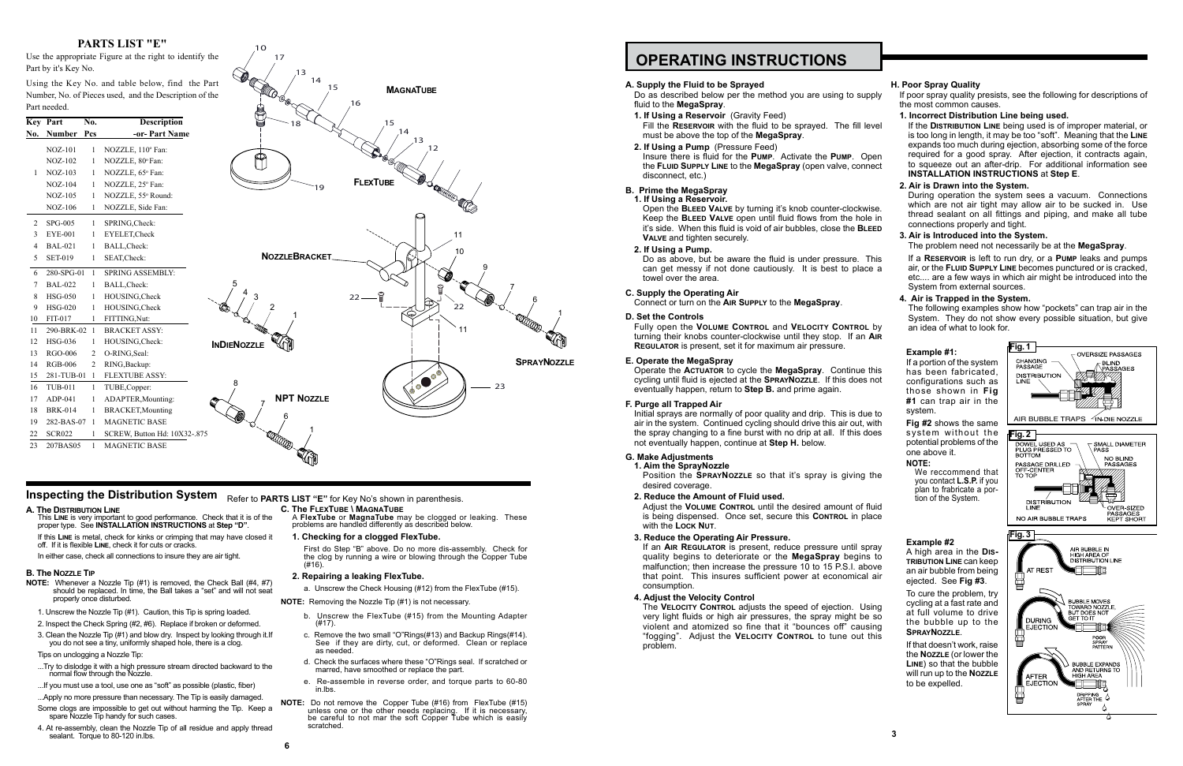### **OPERATING INSTRUCTIONS**

#### **A. Supply the Fluid to be Sprayed**

#### **B. Prime the MegaSpray**

- **1. If Using a Reservoir.**
	- Open the **Bleed Valve** by turning it's knob counter-clockwise. Keep the **Bleed Valve** open until fluid flows from the hole in it's side. When this fluid is void of air bubbles, close the **Bleed VALVE** and tighten securely.
- **2. If Using a Pump.**

Do as above, but be aware the fluid is under pressure. This can get messy if not done cautiously. It is best to place a towel over the area.

#### **C. Supply the Operating Air**

Connect or turn on the **Air Supply** to the **MegaSpray**.

#### **D. Set the Controls**

Fully open the **Volume Control** and **Velocity Control** by turning their knobs counter-clockwise until they stop. If an **Air Regulator** is present, set it for maximum air pressure.

#### **E. Operate the MegaSpray**

Operate the **Actuator** to cycle the **MegaSpray**. Continue this cycling until fluid is ejected at the **SprayNozzle**. If this does not eventually happen, return to **Step B.** and prime again.

#### **F. Purge all Trapped Air**

Initial sprays are normally of poor quality and drip. This is due to air in the system. Continued cycling should drive this air out, with the spray changing to a fine burst with no drip at all. If this does not eventually happen, continue at **Step H.** below.

- Do as described below per the method you are using to supply fluid to the **MegaSpray**. If poor spray quality presists, see the following for descriptions of the most common causes.
- **1. If Using a Reservoir** (Gravity Feed) Fill the **Reservoir** with the fluid to be sprayed. The fill level must be above the top of the **MegaSpray**.
- **2. If Using a Pump** (Pressure Feed) Insure there is fluid for the **Pump**. Activate the **Pump**. Open the **Fluid Supply Line** to the **MegaSpray** (open valve, connect disconnect, etc.) If the **Distribution Line** being used is of improper material, or is too long in length, it may be too "soft". Meaning that the **Line** expands too much during ejection, absorbing some of the force required for a good spray. After ejection, it contracts again, to squeeze out an after-drip. For additional information see **INSTALLATION INSTRUCTIONS** at **Step E**.

#### **G. Make Adjustments**

**1. Aim the SprayNozzle** Position the **SprayNozzle** so that it's spray is giving the desired coverage.

**2. Reduce the Amount of Fluid used.**

Adjust the **Volume Control** until the desired amount of fluid is being dispensed. Once set, secure this **Control** in place with the **Lock Nut**.

#### **3. Reduce the Operating Air Pressure.**

If an **Air Regulator** is present, reduce pressure until spray quality begins to deteriorate or the **MegaSpray** begins to malfunction; then increase the pressure 10 to 15 P.S.I. above that point. This insures sufficient power at economical air consumption.

#### **4. Adjust the Velocity Control**

The **Velocity Control** adjusts the speed of ejection. Using very light fluids or high air pressures, the spray might be so violent and atomized so fine that it "bounces off" causing "fogging". Adjust the **Velocity Control** to tune out this problem.

- **NOTE:** Whenever a Nozzle Tip (#1) is removed, the Check Ball (#4, #7) should be replaced. In time, the Ball takes a "set" and will not seat properly once disturbed.
- 1. Unscrew the Nozzle Tip (#1). Caution, this Tip is spring loaded.
- 2. Inspect the Check Spring (#2, #6). Replace if broken or deformed.
- 3. Clean the Nozzle Tip (#1) and blow dry. Inspect by looking through it.If you do not see a tiny, uniformly shaped hole, there is a clog.
- Tips on unclogging a Nozzle Tip:
- ...Try to dislodge it with a high pressure stream directed backward to the normal flow through the Nozzle.
- ...If you must use a tool, use one as "soft" as possible (plastic, fiber)
- ...Apply no more pressure than necessary. The Tip is easily damaged.
- Some clogs are impossible to get out without harming the Tip. Keep a spare Nozzle Tip handy for such cases.
- 4. At re-assembly, clean the Nozzle Tip of all residue and apply thread sealant. Torque to 80-120 in.lbs.

#### **H. Poor Spray Quality**

**1. Incorrect Distribution Line being used.**

#### **2. Air is Drawn into the System.**

During operation the system sees a vacuum. Connections which are not air tight may allow air to be sucked in. Use thread sealant on all fittings and piping, and make all tube connections properly and tight.

#### **3. Air is Introduced into the System.** The problem need not necessarily be at the **MegaSpray**.

If a **Reservoir** is left to run dry, or a **Pump** leaks and pumps air, or the **Fluid Supply Line** becomes punctured or is cracked, etc.... are a few ways in which air might be introduced into the System from external sources.

#### **4. Air is Trapped in the System.**

The following examples show how "pockets" can trap air in the System. They do not show every possible situation, but give an idea of what to look for.

#### **Example #1:**

If a portion of the system has been fabricated, configurations such as those shown in **Fig #1** can trap air in the system.

> **Fig #2** shows the same system without the potential problems of the one above it.

#### **NOTE:**

We reccommend that you contact **L.S.P.** if you plan to frabricate a portion of the System.

#### **Example #2**

A high area in the **Distribution Line** can keep an air bubble from being ejected. See **Fig #3**.

To cure the problem, try cycling at a fast rate and at full volume to drive the bubble up to the **SprayNozzle**.

If that doesn't work, raise the **Nozzle** (or lower the **Line**) so that the bubble will run up to the **Nozzle** to be expelled.

- **A. The Distribution Line**
- This **Line** is very important to good performance. Check that it is of the proper type. See **INSTALLATION INSTRUCTIONS** at **Step "D"**.
- If this **Line** is metal, check for kinks or crimping that may have closed it off. If it is flexible **Line**, check it for cuts or cracks.
- In either case, check all connections to insure they are air tight.

#### **B. The Nozzle Tip**

- **C. The FlexTube \ MagnaTube**
- A **FlexTube** or **MagnaTube** may be clogged or leaking. These problems are handled differently as described below.

#### **1. Checking for a clogged FlexTube.**

- First do Step "B" above. Do no more dis-assembly. Check for the clog by running a wire or blowing through the Copper Tube (#16).
- **2. Repairing a leaking FlexTube.**
- a. Unscrew the Check Housing (#12) from the FlexTube (#15).
- **NOTE:** Removing the Nozzle Tip (#1) is not necessary.
	- b. Unscrew the FlexTube (#15) from the Mounting Adapter (#17).
	- c. Remove the two small "O"Rings(#13) and Backup Rings(#14). See if they are dirty, cut, or deformed. Clean or replace as needed.
	- d. Check the surfaces where these "O"Rings seal. If scratched or marred, have smoothed or replace the part.
	- e. Re-assemble in reverse order, and torque parts to 60-80 in lhs.
- **NOTE:** Do not remove the Copper Tube (#16) from FlexTube (#15) unless one or the other needs replacing. If it is necessary, be careful to not mar the soft Copper Tube which is easily scratched.



#### **PARTS LIST "E"**

Use the appropriate Figure at the right to identify the Part by it's Key No.

Using the Key No. and table below, find the Part Number, No. of Pieces used, and the Description of the

**MAGNATUBE**

|    | Part needed.    |              |                              |
|----|-----------------|--------------|------------------------------|
|    | <b>Key Part</b> | No.          | <b>Description</b>           |
|    | No. Number Pcs  |              | -or- Part Name               |
|    | <b>NOZ-101</b>  | 1            | NOZZLE, 110° Fan:            |
|    | <b>NOZ-102</b>  | 1            | NOZZLE, 80° Fan:             |
| 1  | <b>NOZ-103</b>  |              | NOZZLE, 65° Fan:             |
|    | <b>NOZ-104</b>  | 1            | NOZZLE, 25° Fan:             |
|    | <b>NOZ-105</b>  |              | NOZZLE, 55° Round:           |
|    | <b>NOZ-106</b>  |              | NOZZLE, Side Fan:            |
| 2  | <b>SPG-005</b>  |              | SPRING, Check:               |
| 3  | <b>EYE-001</b>  |              | EYELET, Check                |
| 4  | <b>BAL-021</b>  | 1            | BALL, Check:                 |
| 5  | <b>SET-019</b>  | 1            | SEAT, Check:                 |
| 6  | 280-SPG-01 1    |              | <b>SPRING ASSEMBLY:</b>      |
| 7  | <b>BAL-022</b>  |              | BALL, Check:                 |
| 8  | <b>HSG-050</b>  | 1            | HOUSING, Check               |
| 9  | <b>HSG-020</b>  | -1           | HOUSING, Check               |
| 10 | FIT-017         | $\mathbf{1}$ | FITTING, Nut:                |
| 11 | 290-BRK-02 1    |              | <b>BRACKET ASSY:</b>         |
| 12 | <b>HSG-036</b>  |              | HOUSING, Check:              |
| 13 | <b>RGO-006</b>  | 2            | O-RING, Seal:                |
| 14 | <b>RGB-006</b>  | 2            | RING, Backup:                |
| 15 | 281-TUB-01 1    |              | FLEXTUBE ASSY:               |
| 16 | <b>TUB-011</b>  |              | TUBE, Copper:                |
| 17 | ADP-041         | -1           | ADAPTER, Mounting:           |
| 18 | <b>BRK-014</b>  |              | BRACKET, Mounting            |
| 19 | 282-BAS-07 1    |              | <b>MAGNETIC BASE</b>         |
| 22 | <b>SCR022</b>   |              | SCREW, Button Hd: 10X32-.875 |
| 23 | 207BAS05        | $\mathbf{1}$ | <b>MAGNETIC BASE</b>         |
|    |                 |              |                              |

**Inspecting the Distribution System** Refer to PARTS LIST "E" for Key No's shown in parenthesis.

15

13 14

17

10